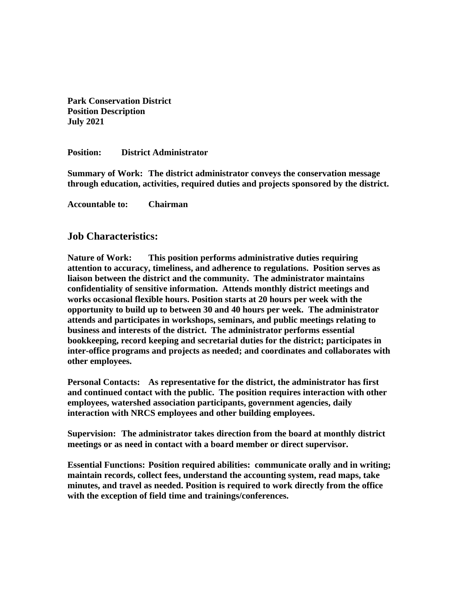**Park Conservation District Position Description July 2021**

**Position: District Administrator**

**Summary of Work: The district administrator conveys the conservation message through education, activities, required duties and projects sponsored by the district.**

**Accountable to: Chairman**

## **Job Characteristics:**

**Nature of Work: This position performs administrative duties requiring attention to accuracy, timeliness, and adherence to regulations. Position serves as liaison between the district and the community. The administrator maintains confidentiality of sensitive information. Attends monthly district meetings and works occasional flexible hours. Position starts at 20 hours per week with the opportunity to build up to between 30 and 40 hours per week. The administrator attends and participates in workshops, seminars, and public meetings relating to business and interests of the district. The administrator performs essential bookkeeping, record keeping and secretarial duties for the district; participates in inter-office programs and projects as needed; and coordinates and collaborates with other employees.**

**Personal Contacts: As representative for the district, the administrator has first and continued contact with the public. The position requires interaction with other employees, watershed association participants, government agencies, daily interaction with NRCS employees and other building employees.** 

**Supervision: The administrator takes direction from the board at monthly district meetings or as need in contact with a board member or direct supervisor.**

**Essential Functions: Position required abilities: communicate orally and in writing; maintain records, collect fees, understand the accounting system, read maps, take minutes, and travel as needed. Position is required to work directly from the office with the exception of field time and trainings/conferences.**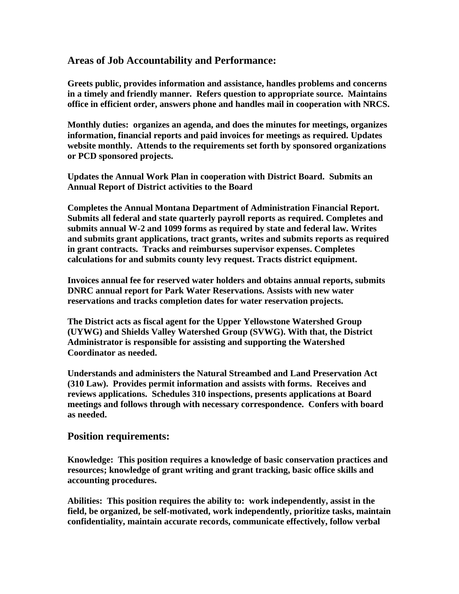## **Areas of Job Accountability and Performance:**

**Greets public, provides information and assistance, handles problems and concerns in a timely and friendly manner. Refers question to appropriate source. Maintains office in efficient order, answers phone and handles mail in cooperation with NRCS.** 

**Monthly duties: organizes an agenda, and does the minutes for meetings, organizes information, financial reports and paid invoices for meetings as required. Updates website monthly. Attends to the requirements set forth by sponsored organizations or PCD sponsored projects.** 

**Updates the Annual Work Plan in cooperation with District Board. Submits an Annual Report of District activities to the Board**

**Completes the Annual Montana Department of Administration Financial Report. Submits all federal and state quarterly payroll reports as required. Completes and submits annual W-2 and 1099 forms as required by state and federal law. Writes and submits grant applications, tract grants, writes and submits reports as required in grant contracts. Tracks and reimburses supervisor expenses. Completes calculations for and submits county levy request. Tracts district equipment.**

**Invoices annual fee for reserved water holders and obtains annual reports, submits DNRC annual report for Park Water Reservations. Assists with new water reservations and tracks completion dates for water reservation projects.**

**The District acts as fiscal agent for the Upper Yellowstone Watershed Group (UYWG) and Shields Valley Watershed Group (SVWG). With that, the District Administrator is responsible for assisting and supporting the Watershed Coordinator as needed.**

**Understands and administers the Natural Streambed and Land Preservation Act (310 Law). Provides permit information and assists with forms. Receives and reviews applications. Schedules 310 inspections, presents applications at Board meetings and follows through with necessary correspondence. Confers with board as needed.** 

## **Position requirements:**

**Knowledge: This position requires a knowledge of basic conservation practices and resources; knowledge of grant writing and grant tracking, basic office skills and accounting procedures.**

**Abilities: This position requires the ability to: work independently, assist in the field, be organized, be self-motivated, work independently, prioritize tasks, maintain confidentiality, maintain accurate records, communicate effectively, follow verbal**